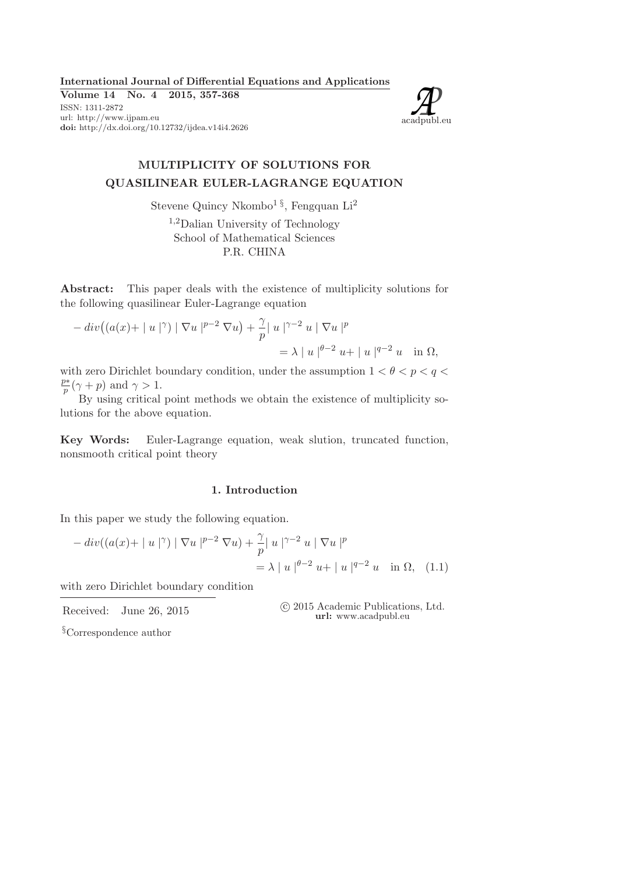International Journal of Differential Equations and Applications

Volume 14 No. 4 2015, 357-368 ISSN: 1311-2872 url: http://www.ijpam.eu<br>**doi:** http://dx.doi.org/10.12732/ijdea.v14i4.2626



## MULTIPLICITY OF SOLUTIONS FOR QUASILINEAR EULER-LAGRANGE EQUATION

Stevene Quincy Nkombo<sup>1 §</sup>, Fengquan Li<sup>2</sup>

<sup>1</sup>,2Dalian University of Technology School of Mathematical Sciences P.R. CHINA

Abstract: This paper deals with the existence of multiplicity solutions for the following quasilinear Euler-Lagrange equation

$$
- div ((a(x) + | u |^{\gamma}) | \nabla u |^{p-2} \nabla u) + \frac{\gamma}{p} | u |^{\gamma-2} u | \nabla u |^{p}
$$
  
=  $\lambda | u |^{\theta-2} u + | u |^{\theta-2} u$  in  $\Omega$ ,

with zero Dirichlet boundary condition, under the assumption  $1 < \theta < p < q <$ p∗  $\frac{p*}{p}(\gamma+p)$  and  $\gamma>1$ .

By using critical point methods we obtain the existence of multiplicity solutions for the above equation.

Key Words: Euler-Lagrange equation, weak slution, truncated function, nonsmooth critical point theory

## 1. Introduction

In this paper we study the following equation.

$$
- div((a(x) + |u|\gamma) | \nabla u |p-2 \nabla u) + \frac{\gamma}{p} |u|\gamma-2 u | \nabla u |p
$$
  
=  $\lambda |u|\theta-2 u + |u|q-2 u \text{ in } \Omega$ , (1.1)

with zero Dirichlet boundary condition

Received: June 26, 2015 (2015 Academic Publications, Ltd. url: www.acadpubl.eu

§Correspondence author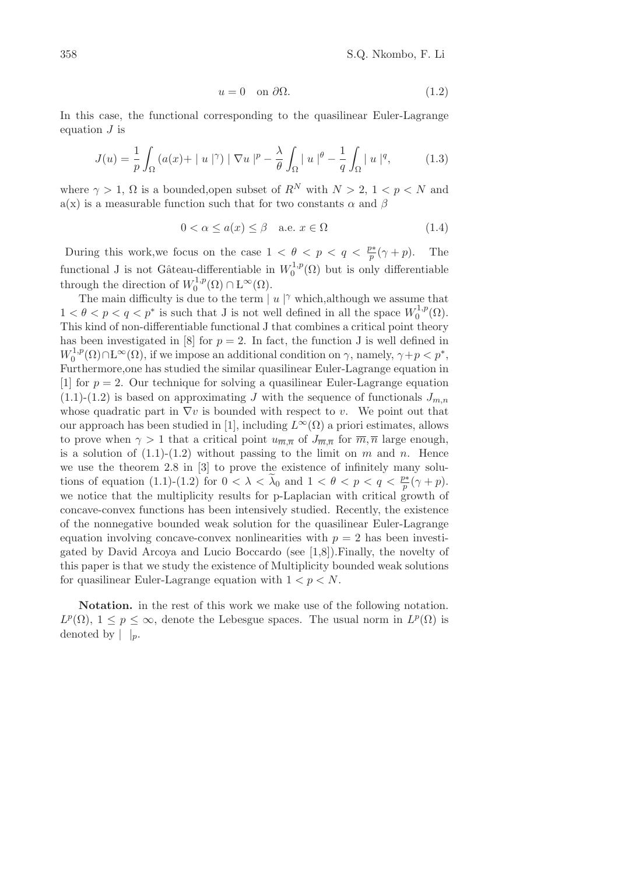$$
u = 0 \quad \text{on } \partial\Omega. \tag{1.2}
$$

In this case, the functional corresponding to the quasilinear Euler-Lagrange equation  $J$  is

$$
J(u) = \frac{1}{p} \int_{\Omega} \left( a(x) + |u|^{\gamma} \right) |\nabla u|^p - \frac{\lambda}{\theta} \int_{\Omega} |u|^{\theta} - \frac{1}{q} \int_{\Omega} |u|^q, \tag{1.3}
$$

where  $\gamma > 1$ ,  $\Omega$  is a bounded, open subset of  $R^N$  with  $N > 2$ ,  $1 < p < N$  and a(x) is a measurable function such that for two constants  $\alpha$  and  $\beta$ 

$$
0 < \alpha \le a(x) \le \beta \quad \text{a.e. } x \in \Omega \tag{1.4}
$$

During this work, we focus on the case  $1 < \theta < p < q < \frac{p^*}{p}(\gamma + p)$ . The functional J is not Gâteau-differentiable in  $W_0^{1,p}$  $_{0}^{\prime 1,p}(\Omega)$  but is only differentiable through the direction of  $W_0^{1,p}$  $L_0^{1,p}(\Omega) \cap L^{\infty}(\Omega).$ 

The main difficulty is due to the term  $|u|^{\gamma}$  which, although we assume that  $1 < \theta < p < q < p^*$  is such that J is not well defined in all the space  $W_0^{1,p}$  $\mathcal{O}^{1,p}(\Omega).$ This kind of non-differentiable functional J that combines a critical point theory has been investigated in [8] for  $p = 2$ . In fact, the function J is well defined in  $W_0^{1,p}$  $C_0^{1,p}(\Omega) \cap L^{\infty}(\Omega)$ , if we impose an additional condition on  $\gamma$ , namely,  $\gamma + p < p^*$ , Furthermore,one has studied the similar quasilinear Euler-Lagrange equation in [1] for  $p = 2$ . Our technique for solving a quasilinear Euler-Lagrange equation  $(1.1)-(1.2)$  is based on approximating J with the sequence of functionals  $J_{m,n}$ whose quadratic part in  $\nabla v$  is bounded with respect to v. We point out that our approach has been studied in [1], including  $L^{\infty}(\Omega)$  a priori estimates, allows to prove when  $\gamma > 1$  that a critical point  $u_{\overline{m},\overline{n}}$  of  $J_{\overline{m},\overline{n}}$  for  $\overline{m},\overline{n}$  large enough, is a solution of  $(1.1)-(1.2)$  without passing to the limit on m and n. Hence we use the theorem 2.8 in [3] to prove the existence of infinitely many solutions of equation (1.1)-(1.2) for  $0 < \lambda < \tilde{\lambda}_0$  and  $1 < \theta < p < q < \frac{p^*}{p}(\gamma + p)$ . we notice that the multiplicity results for p-Laplacian with critical growth of concave-convex functions has been intensively studied. Recently, the existence of the nonnegative bounded weak solution for the quasilinear Euler-Lagrange equation involving concave-convex nonlinearities with  $p = 2$  has been investigated by David Arcoya and Lucio Boccardo (see [1,8]).Finally, the novelty of this paper is that we study the existence of Multiplicity bounded weak solutions for quasilinear Euler-Lagrange equation with  $1 < p < N$ .

Notation. in the rest of this work we make use of the following notation.  $L^p(\Omega)$ ,  $1 \leq p \leq \infty$ , denote the Lebesgue spaces. The usual norm in  $L^p(\Omega)$  is denoted by  $| \cdot |_p$ .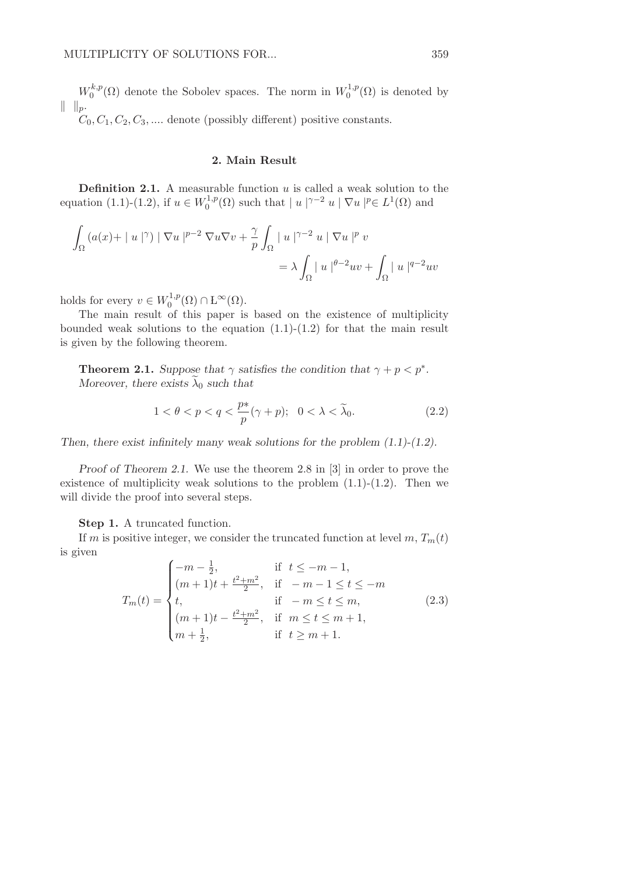$W_0^{k,p}$  $\mathcal{O}_0^{k,p}(\Omega)$  denote the Sobolev spaces. The norm in  $W_0^{1,p}$  $\binom{1,p}{0}$  is denoted by  $|| \t||_p.$ 

 $C_0, C_1, C_2, C_3, \dots$  denote (possibly different) positive constants.

## 2. Main Result

**Definition 2.1.** A measurable function  $u$  is called a weak solution to the equation (1.1)-(1.2), if  $u \in W_0^{1,p}$  $\int_0^1 p(\Omega)$  such that  $|u|^{\gamma-2} u | \nabla u |^p \in L^1(\Omega)$  and

$$
\int_{\Omega} \left( a(x) + |u|^{\gamma} \right) | \nabla u |^{p-2} \nabla u \nabla v + \frac{\gamma}{p} \int_{\Omega} |u|^{\gamma - 2} u | \nabla u |^{p} v
$$
\n
$$
= \lambda \int_{\Omega} |u|^{p-2} u v + \int_{\Omega} |u|^{q-2} u v
$$

holds for every  $v \in W_0^{1,p}$  $L_0^{1,p}(\Omega) \cap \mathrm{L}^{\infty}(\Omega).$ 

The main result of this paper is based on the existence of multiplicity bounded weak solutions to the equation  $(1.1)-(1.2)$  for that the main result is given by the following theorem.

**Theorem 2.1.** Suppose that  $\gamma$  satisfies the condition that  $\gamma + p < p^*$ . Moreover, there exists  $\lambda_0$  such that

$$
1 < \theta < p < q < \frac{p*}{p}(\gamma + p); \quad 0 < \lambda < \tilde{\lambda}_0.
$$
 (2.2)

Then, there exist infinitely many weak solutions for the problem  $(1.1)-(1.2)$ .

Proof of Theorem 2.1. We use the theorem 2.8 in [3] in order to prove the existence of multiplicity weak solutions to the problem  $(1.1)-(1.2)$ . Then we will divide the proof into several steps.

Step 1. A truncated function.

If m is positive integer, we consider the truncated function at level  $m, T_m(t)$ is given

$$
T_m(t) = \begin{cases}\n-m - \frac{1}{2}, & \text{if } t \leq -m - 1, \\
(m + 1)t + \frac{t^2 + m^2}{2}, & \text{if } -m - 1 \leq t \leq -m \\
t, & \text{if } -m \leq t \leq m, \\
(m + 1)t - \frac{t^2 + m^2}{2}, & \text{if } m \leq t \leq m + 1, \\
m + \frac{1}{2}, & \text{if } t \geq m + 1.\n\end{cases}
$$
\n(2.3)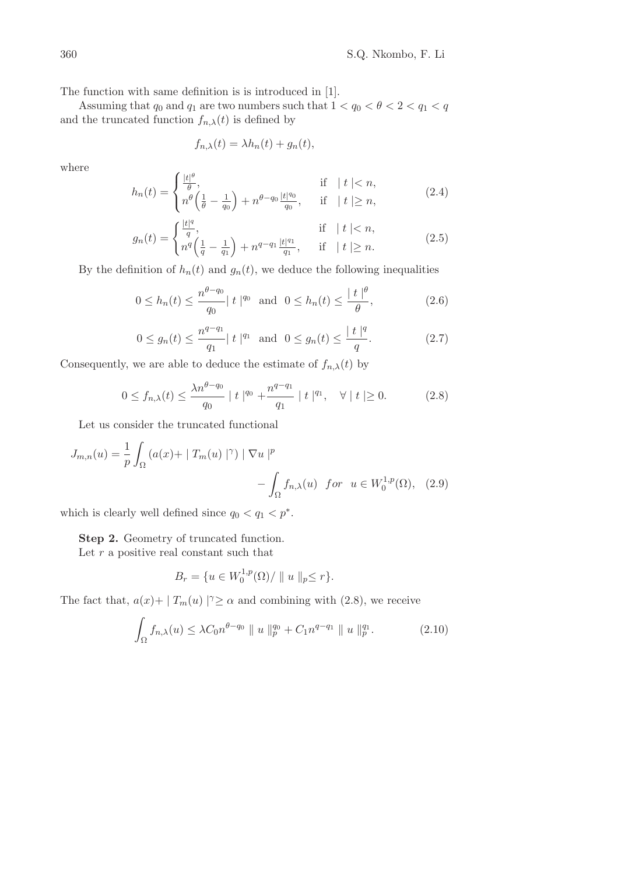The function with same definition is is introduced in [1].

Assuming that  $q_0$  and  $q_1$  are two numbers such that  $1 < q_0 < \theta < 2 < q_1 < q$ and the truncated function  $f_{n,\lambda}(t)$  is defined by

$$
f_{n,\lambda}(t) = \lambda h_n(t) + g_n(t),
$$

where

$$
h_n(t) = \begin{cases} \frac{|t|^{\theta}}{\theta}, & \text{if } |t| < n, \\ n^{\theta} \left( \frac{1}{\theta} - \frac{1}{q_0} \right) + n^{\theta - q_0} \frac{|t|^{q_0}}{q_0}, & \text{if } |t| \ge n, \end{cases}
$$
(2.4)

$$
g_n(t) = \begin{cases} \frac{|t|^q}{q}, & \text{if } |t| < n, \\ n^q \left( \frac{1}{q} - \frac{1}{q_1} \right) + n^{q-q_1} \frac{|t|^{q_1}}{q_1}, & \text{if } |t| \ge n. \end{cases}
$$
(2.5)

By the definition of  $h_n(t)$  and  $g_n(t)$ , we deduce the following inequalities

$$
0 \le h_n(t) \le \frac{n^{\theta - q_0}}{q_0} |t|^{q_0} \quad \text{and} \quad 0 \le h_n(t) \le \frac{|t|^{\theta}}{\theta},\tag{2.6}
$$

$$
0 \le g_n(t) \le \frac{n^{q-q_1}}{q_1} |t|^{q_1} \text{ and } 0 \le g_n(t) \le \frac{|t|^q}{q}.
$$
 (2.7)

Consequently, we are able to deduce the estimate of  $f_{n,\lambda}(t)$  by

$$
0 \le f_{n,\lambda}(t) \le \frac{\lambda n^{\theta - q_0}}{q_0} \mid t \mid^{q_0} + \frac{n^{q - q_1}}{q_1} \mid t \mid^{q_1}, \quad \forall \mid t \mid \ge 0. \tag{2.8}
$$

Let us consider the truncated functional

$$
J_{m,n}(u) = \frac{1}{p} \int_{\Omega} \left( a(x) + |T_m(u)|^{\gamma} \right) | \nabla u|^p
$$

$$
- \int_{\Omega} f_{n,\lambda}(u) \quad \text{for} \quad u \in W_0^{1,p}(\Omega), \quad (2.9)
$$

which is clearly well defined since  $q_0 < q_1 < p^*$ .

Step 2. Geometry of truncated function.

Let  $r$  a positive real constant such that

$$
B_r = \{ u \in W_0^{1,p}(\Omega) / || u ||_p \le r \}.
$$

The fact that,  $a(x) + |T_m(u)|^{\gamma} \ge \alpha$  and combining with (2.8), we receive

$$
\int_{\Omega} f_{n,\lambda}(u) \leq \lambda C_0 n^{\theta - q_0} \parallel u \parallel_{p}^{q_0} + C_1 n^{q - q_1} \parallel u \parallel_{p}^{q_1}.
$$
 (2.10)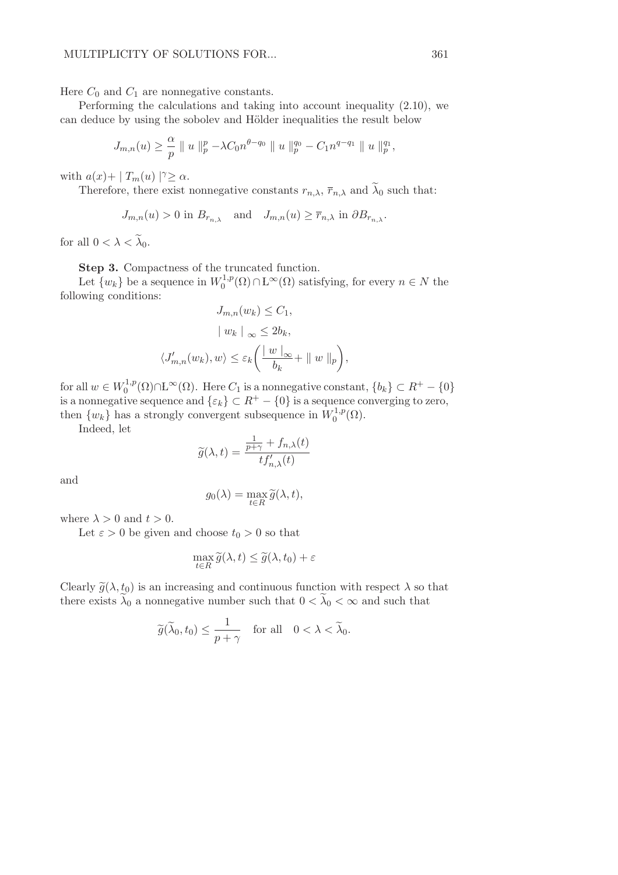Here  $C_0$  and  $C_1$  are nonnegative constants.

Performing the calculations and taking into account inequality (2.10), we can deduce by using the sobolev and Hölder inequalities the result below

$$
J_{m,n}(u) \geq \frac{\alpha}{p} \| u \|_{p}^{p} - \lambda C_0 n^{\theta - q_0} \| u \|_{p}^{q_0} - C_1 n^{q - q_1} \| u \|_{p}^{q_1},
$$

with  $a(x) + |T_m(u)|^{\gamma} \ge \alpha$ .

Therefore, there exist nonnegative constants  $r_{n,\lambda}$ ,  $\overline{r}_{n,\lambda}$  and  $\widetilde{\lambda}_0$  such that:

$$
J_{m,n}(u) > 0
$$
 in  $B_{r_{n,\lambda}}$  and  $J_{m,n}(u) \ge \overline{r}_{n,\lambda}$  in  $\partial B_{r_{n,\lambda}}$ .

for all  $0 < \lambda < \tilde{\lambda}_0$ .

Step 3. Compactness of the truncated function.

Let  $\{w_k\}$  be a sequence in  $W_0^{1,p}$  $\int_0^{1,p}(\Omega)\cap L^{\infty}(\Omega)$  satisfying, for every  $n \in N$  the following conditions:

$$
J_{m,n}(w_k) \leq C_1,
$$
  
\n
$$
| w_k |_{\infty} \leq 2b_k,
$$
  
\n
$$
\langle J'_{m,n}(w_k), w \rangle \leq \varepsilon_k \left( \frac{|w|_{\infty}}{b_k} + ||w||_p \right),
$$

for all  $w \in W_0^{1,p}$  $C_0^{1,p}(\Omega) \cap L^{\infty}(\Omega)$ . Here  $C_1$  is a nonnegative constant,  $\{b_k\} \subset R^+ - \{0\}$ is a nonnegative sequence and  $\{\varepsilon_k\} \subset R^+ - \{0\}$  is a sequence converging to zero, then  $\{w_k\}$  has a strongly convergent subsequence in  $W_0^{1,p}$  $\mathcal{O}^{1,p}(\Omega).$ 

Indeed, let

$$
\widetilde{g}(\lambda, t) = \frac{\frac{1}{p + \gamma} + f_{n,\lambda}(t)}{tf'_{n,\lambda}(t)}
$$

and

$$
g_0(\lambda) = \max_{t \in R} \widetilde{g}(\lambda, t),
$$

where  $\lambda > 0$  and  $t > 0$ .

Let  $\varepsilon > 0$  be given and choose  $t_0 > 0$  so that

$$
\max_{t \in R} \widetilde{g}(\lambda, t) \le \widetilde{g}(\lambda, t_0) + \varepsilon
$$

Clearly  $\tilde{g}(\lambda, t_0)$  is an increasing and continuous function with respect  $\lambda$  so that there exists  $\lambda_0$  a nonnegative number such that  $0 < \lambda_0 < \infty$  and such that

$$
\widetilde{g}(\widetilde{\lambda}_0, t_0) \le \frac{1}{p + \gamma}
$$
 for all  $0 < \lambda < \widetilde{\lambda}_0$ .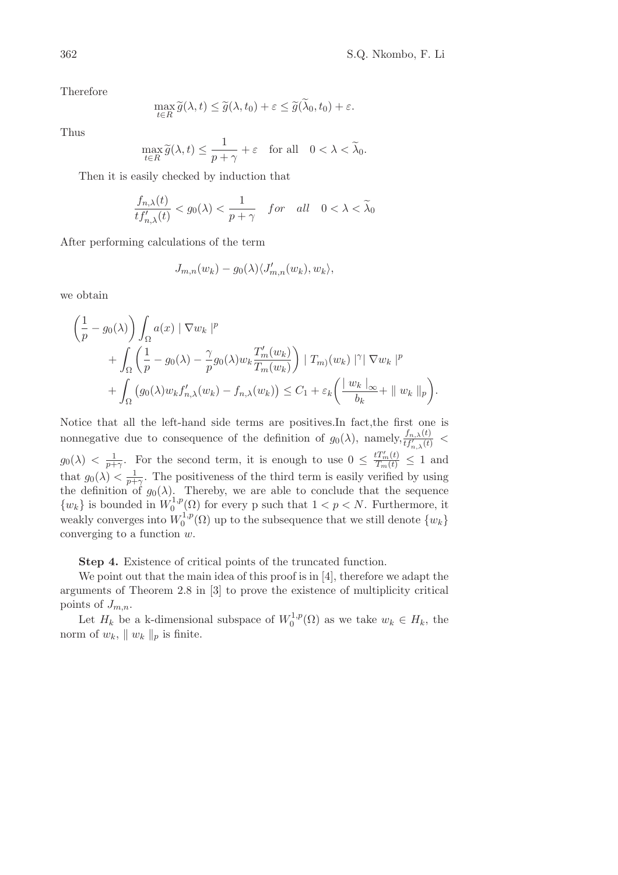Therefore

$$
\max_{t \in R} \widetilde{g}(\lambda, t) \le \widetilde{g}(\lambda, t_0) + \varepsilon \le \widetilde{g}(\lambda_0, t_0) + \varepsilon.
$$

Thus

$$
\max_{t \in R} \widetilde{g}(\lambda, t) \le \frac{1}{p + \gamma} + \varepsilon \quad \text{for all} \quad 0 < \lambda < \widetilde{\lambda}_0.
$$

Then it is easily checked by induction that

$$
\frac{f_{n,\lambda}(t)}{tf'_{n,\lambda}(t)} < g_0(\lambda) < \frac{1}{p+\gamma} \quad \text{for} \quad \text{all} \quad 0 < \lambda < \widetilde{\lambda}_0
$$

After performing calculations of the term

$$
J_{m,n}(w_k) - g_0(\lambda) \langle J'_{m,n}(w_k), w_k \rangle,
$$

we obtain

$$
\left(\frac{1}{p} - g_0(\lambda)\right) \int_{\Omega} a(x) \|\nabla w_k\|^p
$$
  
+ 
$$
\int_{\Omega} \left(\frac{1}{p} - g_0(\lambda) - \frac{\gamma}{p} g_0(\lambda) w_k \frac{T_m'(w_k)}{T_m(w_k)}\right) \|\nabla w_k\|^p
$$
  
+ 
$$
\int_{\Omega} \left(g_0(\lambda) w_k f_{n,\lambda}'(w_k) - f_{n,\lambda}(w_k)\right) \leq C_1 + \varepsilon_k \left(\frac{\|w_k\|_{\infty}}{b_k} + \|w_k\|_p\right).
$$

Notice that all the left-hand side terms are positives.In fact,the first one is nonnegative due to consequence of the definition of  $g_0(\lambda)$ , namely,  $\frac{f_{n,\lambda}(t)}{t f'_{n,\lambda}(t)}$  <  $g_0(\lambda) < \frac{1}{p+\gamma}$ . For the second term, it is enough to use  $0 \leq \frac{tT_m'(t)}{T_m(t)} \leq 1$  and that  $g_0(\lambda) < \frac{1}{p+\gamma}$ . The positiveness of the third term is easily verified by using the definition of  $g_0(\lambda)$ . Thereby, we are able to conclude that the sequence  $\{w_k\}$  is bounded in  $W_0^{1,p}$  $0^{(1,p)}(0)$  for every p such that  $1 < p < N$ . Furthermore, it weakly converges into  $W_0^{1,p}$  $\binom{1,p}{0}$  up to the subsequence that we still denote  $\{w_k\}$ converging to a function  $w$ .

Step 4. Existence of critical points of the truncated function.

We point out that the main idea of this proof is in [4], therefore we adapt the arguments of Theorem 2.8 in [3] to prove the existence of multiplicity critical points of  $J_{m,n}$ .

Let  $H_k$  be a k-dimensional subspace of  $W_0^{1,p}$  $\mathcal{O}_0^{1,p}(\Omega)$  as we take  $w_k \in H_k$ , the norm of  $w_k$ ,  $|| w_k ||_p$  is finite.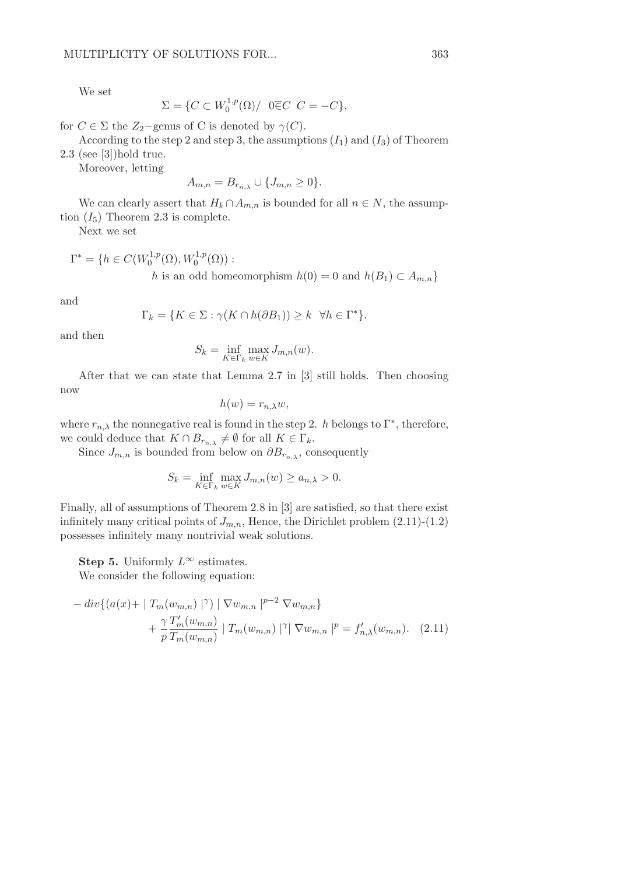We set

$$
\Sigma = \{ C \subset W_0^{1,p}(\Omega) / \ \ 0 \overline{\in} C \ \ C = -C \},
$$

for  $C \in \Sigma$  the  $Z_2$ -genus of C is denoted by  $\gamma(C)$ .

According to the step 2 and step 3, the assumptions  $(I_1)$  and  $(I_3)$  of Theorem 2.3 (see [3])hold true.

Moreover, letting

$$
A_{m,n} = B_{r_{n,\lambda}} \cup \{J_{m,n} \ge 0\}.
$$

We can clearly assert that  $H_k \cap A_{m,n}$  is bounded for all  $n \in N$ , the assumption  $(I_5)$  Theorem 2.3 is complete.

Next we set

$$
\Gamma^* = \{ h \in C(W_0^{1,p}(\Omega), W_0^{1,p}(\Omega)) : h \text{ is an odd homeomorphism } h(0) = 0 \text{ and } h(B_1) \subset A_{m,n} \}
$$

and

$$
\Gamma_k = \{ K \in \Sigma : \gamma(K \cap h(\partial B_1)) \ge k \ \ \forall h \in \Gamma^* \}.
$$

and then

$$
S_k = \inf_{K \in \Gamma_k} \max_{w \in K} J_{m,n}(w).
$$

After that we can state that Lemma 2.7 in [3] still holds. Then choosing now

$$
h(w) = r_{n,\lambda}w,
$$

where  $r_{n,\lambda}$  the nonnegative real is found in the step 2. h belongs to  $\Gamma^*$ , therefore, we could deduce that  $K \cap B_{r_{n,\lambda}} \neq \emptyset$  for all  $K \in \Gamma_k$ .

Since  $J_{m,n}$  is bounded from below on  $\partial B_{r_{n}}$ , consequently

$$
S_k = \inf_{K \in \Gamma_k} \max_{w \in K} J_{m,n}(w) \ge a_{n,\lambda} > 0.
$$

Finally, all of assumptions of Theorem 2.8 in [3] are satisfied, so that there exist infinitely many critical points of  $J_{m,n}$ , Hence, the Dirichlet problem  $(2.11)-(1.2)$ possesses infinitely many nontrivial weak solutions.

Step 5. Uniformly  $L^{\infty}$  estimates.

We consider the following equation:

$$
- \operatorname{div} \{ (a(x) + | T_m(w_{m,n}) |^{\gamma}) | \nabla w_{m,n} |^{p-2} \nabla w_{m,n} \}
$$
  
+ 
$$
\frac{\gamma T'_m(w_{m,n})}{p T_m(w_{m,n})} | T_m(w_{m,n}) |^{\gamma} | \nabla w_{m,n} |^{p} = f'_{n,\lambda}(w_{m,n}). \quad (2.11)
$$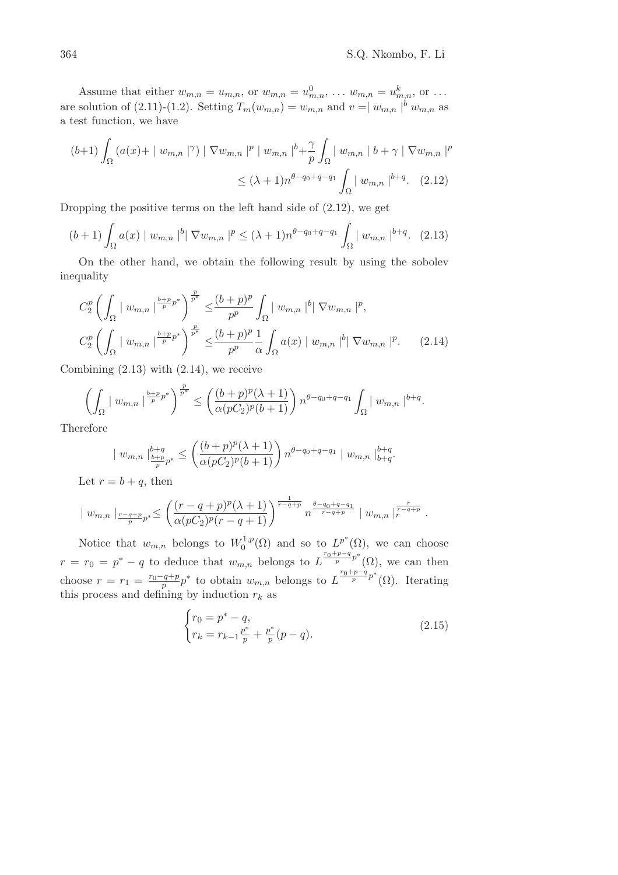Assume that either  $w_{m,n} = u_{m,n}$ , or  $w_{m,n} = u_{m,n}^0, \ldots, w_{m,n} = u_{m,n}^k$ , or  $\ldots$ are solution of (2.11)-(1.2). Setting  $T_m(w_{m,n}) = w_{m,n}$  and  $v = |w_{m,n}|^b w_{m,n}$  as a test function, we have

$$
(b+1)\int_{\Omega} (a(x) + | w_{m,n} |^{\gamma}) | \nabla w_{m,n} |^p | w_{m,n} |^b + \frac{\gamma}{p} \int_{\Omega} | w_{m,n} | b + \gamma | \nabla w_{m,n} |^p
$$
  

$$
\leq (\lambda + 1)n^{\theta - q_0 + q - q_1} \int_{\Omega} | w_{m,n} |^{b+q} . \quad (2.12)
$$

Dropping the positive terms on the left hand side of (2.12), we get

$$
(b+1)\int_{\Omega} a(x) | w_{m,n} |^{b} | \nabla w_{m,n} |^{p} \leq (\lambda+1)n^{\theta-q_0+q-q_1} \int_{\Omega} | w_{m,n} |^{b+q} . \tag{2.13}
$$

On the other hand, we obtain the following result by using the sobolev inequality

$$
C_{2}^{p} \left( \int_{\Omega} | w_{m,n} |^{\frac{b+p}{p} p^{*}} \right)^{\frac{p}{p^{*}}} \leq \frac{(b+p)^{p}}{p^{p}} \int_{\Omega} | w_{m,n} |^{b} | \nabla w_{m,n} |^{p},
$$
  

$$
C_{2}^{p} \left( \int_{\Omega} | w_{m,n} |^{\frac{b+p}{p} p^{*}} \right)^{\frac{p}{p^{*}}} \leq \frac{(b+p)^{p}}{p^{p}} \frac{1}{\alpha} \int_{\Omega} a(x) | w_{m,n} |^{b} | \nabla w_{m,n} |^{p}. \tag{2.14}
$$

Combining  $(2.13)$  with  $(2.14)$ , we receive

$$
\left(\int_{\Omega} |w_{m,n}|^{\frac{b+p}{p}p^*}\right)^{\frac{p}{p^*}} \le \left(\frac{(b+p)^p(\lambda+1)}{\alpha(pC_2)^p(b+1)}\right) n^{\theta-q_0+q-q_1} \int_{\Omega} |w_{m,n}|^{b+q}.
$$

Therefore

$$
| w_{m,n} |_{\frac{b+q}{p}p^*}^{b+q} \le \left( \frac{(b+p)^p (\lambda + 1)}{\alpha (pC_2)^p (b+1)} \right) n^{\theta - q_0 + q - q_1} | w_{m,n} |_{b+q}^{b+q}.
$$

Let  $r = b + q$ , then

$$
\mid w_{m,n} \mid_{\frac{r-q+p}{p}p^*} \leq \left(\frac{(r-q+p)^p(\lambda+1)}{\alpha(pC_2)^p(r-q+1)}\right)^{\frac{1}{r-q+p}} n^{\frac{\theta-q_0+q-q_1}{r-q+p}} \mid w_{m,n} \mid_{r}^{\frac{r}{r-q+p}}.
$$

Notice that  $w_{m,n}$  belongs to  $W_0^{1,p}(\Omega)$  and so to  $L^{p^*}(\Omega)$ , we can choose 0  $r = r_0 = p^* - q$  to deduce that  $w_{m,n}$  belongs to  $L^{\frac{r_0+p-q}{p}}$ <sup>\*</sup>( $\Omega$ ), we can then choose  $r = r_1 = \frac{r_0 - q + p}{p}$  $\frac{q+p}{p}p^*$  to obtain  $w_{m,n}$  belongs to  $L^{\frac{r_0+p-q}{p}}p^*(\Omega)$ . Iterating this process and defining by induction  $r_k$  as

$$
\begin{cases}\nr_0 = p^* - q, \\
r_k = r_{k-1} \frac{p^*}{p} + \frac{p^*}{p}(p - q).\n\end{cases}
$$
\n(2.15)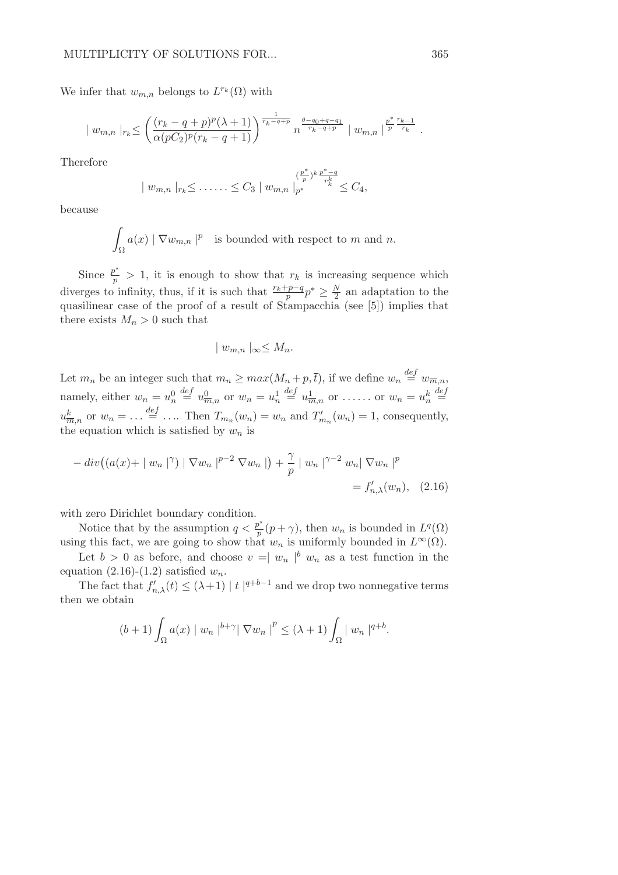We infer that  $w_{m,n}$  belongs to  $L^{r_k}(\Omega)$  with

$$
| w_{m,n} |_{r_k} \leq \left( \frac{(r_k - q + p)^p (\lambda + 1)}{\alpha (pC_2)^p (r_k - q + 1)} \right)^{\frac{1}{r_k - q + p}} n^{\frac{\theta - q_0 + q - q_1}{r_k - q + p}} | w_{m,n} |^{\frac{p^*}{p} \frac{r_{k-1}}{r_k}}.
$$

Therefore

$$
| w_{m,n} |_{r_k} \leq \ldots \leq C_3 | w_{m,n} |_{p^*}^{(\frac{p^*}{p})^k \frac{p^*-q}{r_k^k}} \leq C_4,
$$

because

$$
\int_{\Omega} a(x) \mid \nabla w_{m,n} \mid^{p}
$$
 is bounded with respect to m and n.

Since  $\frac{p^*}{p} > 1$ , it is enough to show that  $r_k$  is increasing sequence which diverges to infinity, thus, if it is such that  $\frac{r_k+p-q}{p}p^* \geq \frac{N}{2}$  $\frac{N}{2}$  an adaptation to the quasilinear case of the proof of a result of Stampacchia (see [5]) implies that there exists  $M_n > 0$  such that

$$
|w_{m,n}|_{\infty} \leq M_n.
$$

Let  $m_n$  be an integer such that  $m_n \geq max(M_n+p,\overline{t})$ , if we define  $w_n \stackrel{def}{=} w_{\overline{m},n}$ , namely, either  $w_n = u_n^0$  $\stackrel{def}{=} u^0_{\overline{m},n}$  or  $w_n = u^1_n$  $\stackrel{def}{=} u^1_{\overline{m},n}$  or ...... or  $w_n = u^k_n$  $\stackrel{def}{=}$  $u_{\overline{m},n}^k$  or  $w_n = \ldots \stackrel{def}{=} \ldots$  Then  $T_{m_n}(w_n) = w_n$  and  $T'_{m_n}(w_n) = 1$ , consequently, the equation which is satisfied by  $w_n$  is

$$
- \operatorname{div} \left( (a(x) + | w_n |^{\gamma}) | \nabla w_n |^{p-2} \nabla w_n | \right) + \frac{\gamma}{p} | w_n |^{\gamma - 2} w_n | \nabla w_n |^p
$$
  
=  $f'_{n,\lambda}(w_n)$ , (2.16)

with zero Dirichlet boundary condition.

Notice that by the assumption  $q < \frac{p^*}{p}$  $p^*(p+\gamma)$ , then  $w_n$  is bounded in  $L^q(\Omega)$ using this fact, we are going to show that  $w_n$  is uniformly bounded in  $L^{\infty}(\Omega)$ .

Let  $b > 0$  as before, and choose  $v = |w_n|^{b} w_n$  as a test function in the equation (2.16)-(1.2) satisfied  $w_n$ .

The fact that  $f'_{n,\lambda}(t) \leq (\lambda+1) |t|^{q+b-1}$  and we drop two nonnegative terms then we obtain

$$
(b+1)\int_{\Omega}a(x)\mid w_n\mid^{b+\gamma}|\nabla w_n\mid^p\leq (\lambda+1)\int_{\Omega}|w_n|^{q+b}.
$$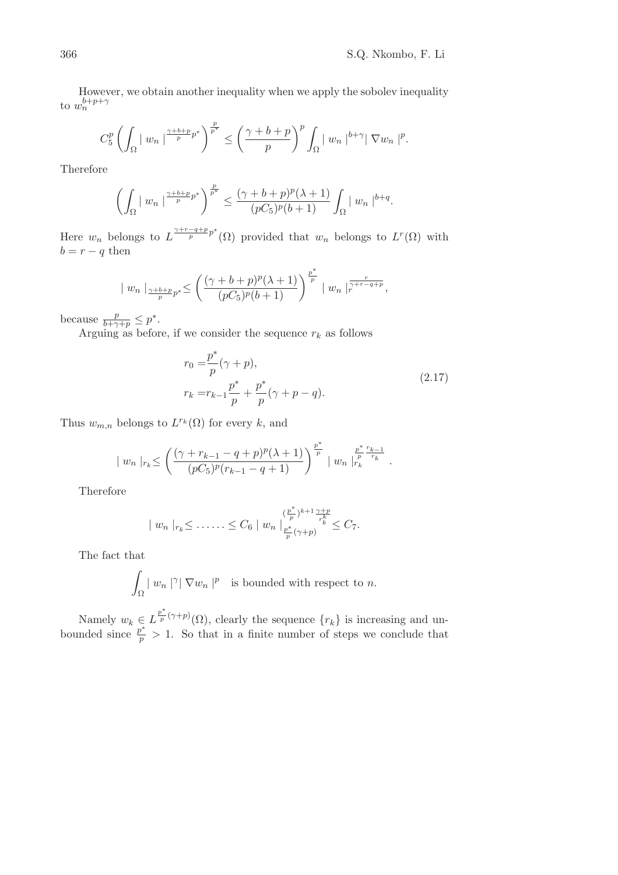However, we obtain another inequality when we apply the sobolev inequality to  $w_n^{b+p+\gamma}$ 

$$
C_5^p \left(\int_{\Omega} |w_n|^{p\over p} p^* \right)^{p\over p^*} \le \left(\frac{\gamma+b+p}{p}\right)^p \int_{\Omega} |w_n|^{p+q} |\nabla w_n|^p.
$$

Therefore

$$
\left(\int_{\Omega} |w_n|^{p\over p} p^* \right)^{p\over p} \leq \frac{(\gamma+b+p)^p(\lambda+1)}{(pC_5)^p(b+1)} \int_{\Omega} |w_n|^{b+q}.
$$

Here  $w_n$  belongs to  $L^{\frac{\gamma+r-q+p}{p}}(0)$  provided that  $w_n$  belongs to  $L^r(\Omega)$  with  $b = r - q$  then

$$
| w_n |_{\frac{\gamma+b+p}{p}p^*} \leq \left( \frac{(\gamma+b+p)^p (\lambda+1)}{(pC_5)^p (b+1)} \right)^{\frac{p^*}{p}} | w_n |_{r}^{\frac{r}{\gamma+r-q+p}},
$$

because  $\frac{p}{b+\gamma+p} \leq p^*$ .

Arguing as before, if we consider the sequence  $r_k$  as follows

$$
r_0 = \frac{p^*}{p} (\gamma + p),
$$
  
\n
$$
r_k = r_{k-1} \frac{p^*}{p} + \frac{p^*}{p} (\gamma + p - q).
$$
\n(2.17)

Thus  $w_{m,n}$  belongs to  $L^{r_k}(\Omega)$  for every k, and

$$
| w_n |_{r_k} \leq \left( \frac{(\gamma + r_{k-1} - q + p)^p (\lambda + 1)}{(pC_5)^p (r_{k-1} - q + 1)} \right)^{\frac{p^*}{p}} | w_n |_{r_k}^{\frac{p^*}{p} \frac{r_{k-1}}{r_k}}.
$$

Therefore

$$
| w_n |_{r_k} \leq \ldots \ldots \leq C_6 | w_n |_{p^* \over p} (\gamma + p) \leq C_7.
$$

The fact that

$$
\int_{\Omega} |w_n|^{\gamma} |\nabla w_n|^p
$$
 is bounded with respect to n.

Namely  $w_k \in L^{\frac{p^*}{p}}$  $\frac{p}{p}(\gamma+p)(\Omega)$ , clearly the sequence  $\{r_k\}$  is increasing and unbounded since  $\frac{p^*}{p} > 1$ . So that in a finite number of steps we conclude that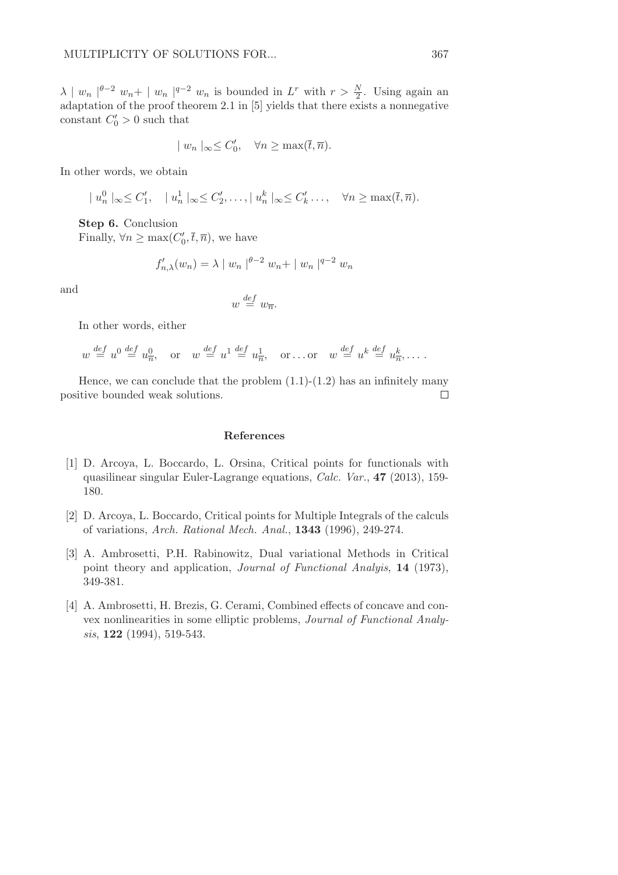$\lambda \mid w_n \mid^{\theta-2} w_n + \mid w_n \mid^{q-2} w_n$  is bounded in  $L^r$  with  $r > \frac{N}{2}$ . Using again an adaptation of the proof theorem 2.1 in [5] yields that there exists a nonnegative constant  $C'_0 > 0$  such that

$$
| w_n |_{\infty} \leq C'_0, \quad \forall n \geq \max(\overline{t}, \overline{n}).
$$

In other words, we obtain

$$
|u_n^0|_{\infty} \leq C'_1, \quad |u_n^1|_{\infty} \leq C'_2, \dots, |u_n^k|_{\infty} \leq C'_k, \dots, \quad \forall n \geq \max(\overline{t}, \overline{n}).
$$

Step 6. Conclusion Finally,  $\forall n \ge \max(C'_0, \overline{t}, \overline{n})$ , we have

$$
f'_{n,\lambda}(w_n) = \lambda | w_n |^{\theta-2} w_n + | w_n |^{q-2} w_n
$$

and

$$
w \stackrel{\text{def}}{=} w_{\overline{n}}.
$$

In other words, either

$$
w \stackrel{\text{def}}{=} u^0 \stackrel{\text{def}}{=} u_{\overline{n}}^0
$$
, or  $w \stackrel{\text{def}}{=} u^1 \stackrel{\text{def}}{=} u_{\overline{n}}^1$ , or...or  $w \stackrel{\text{def}}{=} u^k \stackrel{\text{def}}{=} u_{\overline{n}}^k$ ,...

Hence, we can conclude that the problem  $(1.1)-(1.2)$  has an infinitely many positive bounded weak solutions.  $\Box$ 

## References

- [1] D. Arcoya, L. Boccardo, L. Orsina, Critical points for functionals with quasilinear singular Euler-Lagrange equations, Calc. Var., 47 (2013), 159- 180.
- [2] D. Arcoya, L. Boccardo, Critical points for Multiple Integrals of the calculs of variations, Arch. Rational Mech. Anal., 1343 (1996), 249-274.
- [3] A. Ambrosetti, P.H. Rabinowitz, Dual variational Methods in Critical point theory and application, Journal of Functional Analyis, 14 (1973), 349-381.
- [4] A. Ambrosetti, H. Brezis, G. Cerami, Combined effects of concave and convex nonlinearities in some elliptic problems, Journal of Functional Analysis, **122** (1994), 519-543.